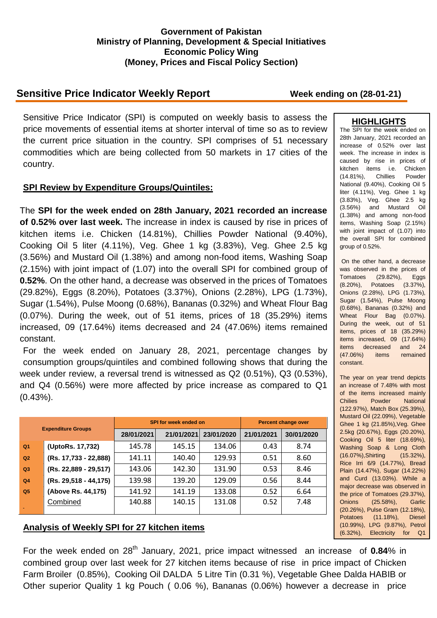### **Government of Pakistan Ministry of Planning, Development & Special Initiatives Economic Policy Wing (Money, Prices and Fiscal Policy Section)**

# **Sensitive Price Indicator Weekly Report Week ending on (28-01-21)**

Sensitive Price Indicator (SPI) is computed on weekly basis to assess the price movements of essential items at shorter interval of time so as to review the current price situation in the country. SPI comprises of 51 necessary commodities which are being collected from 50 markets in 17 cities of the country.

### **SPI Review by Expenditure Groups/Quintiles:**

The **SPI for the week ended on 28th January, 2021 recorded an increase of 0.52% over last week.** The increase in index is caused by rise in prices of kitchen items i.e. Chicken (14.81%), Chillies Powder National (9.40%), Cooking Oil 5 liter (4.11%), Veg. Ghee 1 kg (3.83%), Veg. Ghee 2.5 kg (3.56%) and Mustard Oil (1.38%) and among non-food items, Washing Soap (2.15%) with joint impact of (1.07) into the overall SPI for combined group of **0.52%**. On the other hand, a decrease was observed in the prices of Tomatoes (29.82%), Eggs (8.20%), Potatoes (3.37%), Onions (2.28%), LPG (1.73%), Sugar (1.54%), Pulse Moong (0.68%), Bananas (0.32%) and Wheat Flour Bag (0.07%). During the week, out of 51 items, prices of 18 (35.29%) items increased, 09 (17.64%) items decreased and 24 (47.06%) items remained constant.

For the week ended on January 28, 2021, percentage changes by consumption groups/quintiles and combined following shows that during the week under review, a reversal trend is witnessed as Q2 (0.51%), Q3 (0.53%), and Q4 (0.56%) were more affected by price increase as compared to Q1 (0.43%).

| <b>Expenditure Groups</b> |                       |            | SPI for week ended on | Percent change over |            |            |
|---------------------------|-----------------------|------------|-----------------------|---------------------|------------|------------|
|                           |                       | 28/01/2021 | 21/01/2021            | 23/01/2020          | 21/01/2021 | 30/01/2020 |
| Q <sub>1</sub>            | (UptoRs. 17,732)      | 145.78     | 145.15                | 134.06              | 0.43       | 8.74       |
| Q2                        | (Rs. 17,733 - 22,888) | 141.11     | 140.40                | 129.93              | 0.51       | 8.60       |
| Q3                        | (Rs. 22,889 - 29,517) | 143.06     | 142.30                | 131.90              | 0.53       | 8.46       |
| Q <sub>4</sub>            | (Rs. 29,518 - 44,175) | 139.98     | 139.20                | 129.09              | 0.56       | 8.44       |
| Q <sub>5</sub>            | (Above Rs. 44,175)    | 141.92     | 141.19                | 133.08              | 0.52       | 6.64       |
|                           | Combined              | 140.88     | 140.15                | 131.08              | 0.52       | 7.48       |

## **Analysis of Weekly SPI for 27 kitchen items**

For the week ended on 28<sup>th</sup> January, 2021, price impact witnessed an increase of 0.84% in combined group over last week for 27 kitchen items because of rise in price impact of Chicken Farm Broiler (0.85%), Cooking Oil DALDA 5 Litre Tin (0.31 %), Vegetable Ghee Dalda HABIB or Other superior Quality 1 kg Pouch ( 0.06 %), Bananas (0.06%) however a decrease in price

### **HIGHLIGHTS**

The SPI for the week ended on 28th January, 2021 recorded an increase of 0.52% over last week. The increase in index is caused by rise in prices of kitchen items i.e. Chicken (14.81%), Chillies Powder National (9.40%), Cooking Oil 5 liter (4.11%), Veg. Ghee 1 kg (3.83%), Veg. Ghee 2.5 kg (3.56%) and Mustard Oil (1.38%) and among non-food items, Washing Soap (2.15%) with joint impact of (1.07) into the overall SPI for combined group of 0.52%.

On the other hand, a decrease was observed in the prices of Tomatoes (29.82%), Eggs (8.20%), Potatoes (3.37%), Onions (2.28%), LPG (1.73%), Sugar (1.54%), Pulse Moong (0.68%), Bananas (0.32%) and Wheat Flour Bag (0.07%). During the week, out of 51 items, prices of 18 (35.29%) items increased, 09 (17.64%) items decreased and 24 (47.06%) items remained constant.

The year on year trend depicts an increase of 7.48% with most of the items increased mainly Chilies Powder National (122.97%), Match Box (25.39%), Mustard Oil (22.09%), Vegetable Ghee 1 kg (21.85%),Veg. Ghee 2.5kg (20.67%), Eggs (20.20%), Cooking Oil 5 liter (18.69%), Washing Soap & Long Cloth (16.07%),Shirting (15.32%), Rice Irri 6/9 (14.77%), Bread Plain (14.47%), Sugar (14.22%) and Curd (13.03%). While a major decrease was observed in the price of Tomatoes (29.37%), Onions (25.58%), Garlic (20.26%), Pulse Gram (12.18%), Potatoes (11.18%), Diesel (10.99%), LPG (9.87%), Petrol (6.32%), Electricity for Q1

(3.82%) and Pulse Moong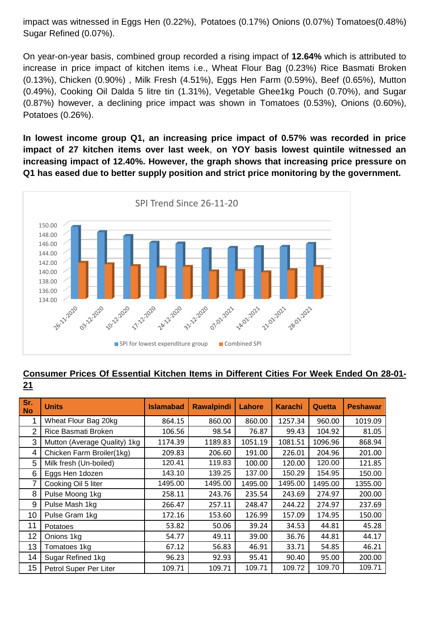impact was witnessed in Eggs Hen (0.22%), Potatoes (0.17%) Onions (0.07%) Tomatoes(0.48%) Sugar Refined (0.07%).

On year-on-year basis, combined group recorded a rising impact of **12.64%** which is attributed to increase in price impact of kitchen items i.e., Wheat Flour Bag (0.23%) Rice Basmati Broken (0.13%), Chicken (0.90%) , Milk Fresh (4.51%), Eggs Hen Farm (0.59%), Beef (0.65%), Mutton (0.49%), Cooking Oil Dalda 5 litre tin (1.31%), Vegetable Ghee1kg Pouch (0.70%), and Sugar (0.87%) however, a declining price impact was shown in Tomatoes (0.53%), Onions (0.60%), Potatoes (0.26%).

**In lowest income group Q1, an increasing price impact of 0.57% was recorded in price impact of 27 kitchen items over last week**, **on YOY basis lowest quintile witnessed an increasing impact of 12.40%. However, the graph shows that increasing price pressure on Q1 has eased due to better supply position and strict price monitoring by the government.** 



### **Consumer Prices Of Essential Kitchen Items in Different Cities For Week Ended On 28-01- 21**

| Sr.<br><b>No</b> | <b>Units</b>                 | <b>Islamabad</b> | <b>Rawalpindi</b> | Lahore  | <b>Karachi</b> | Quetta  | <b>Peshawar</b> |
|------------------|------------------------------|------------------|-------------------|---------|----------------|---------|-----------------|
| 1                | Wheat Flour Bag 20kg         | 864.15           | 860.00            | 860.00  | 1257.34        | 960.00  | 1019.09         |
| 2                | Rice Basmati Broken          | 106.56           | 98.54             | 76.87   | 99.43          | 104.92  | 81.05           |
| 3                | Mutton (Average Quality) 1kg | 1174.39          | 1189.83           | 1051.19 | 1081.51        | 1096.96 | 868.94          |
| 4                | Chicken Farm Broiler(1kg)    | 209.83           | 206.60            | 191.00  | 226.01         | 204.96  | 201.00          |
| 5                | Milk fresh (Un-boiled)       | 120.41           | 119.83            | 100.00  | 120.00         | 120.00  | 121.85          |
| 6                | Eggs Hen 1dozen              | 143.10           | 139.25            | 137.00  | 150.29         | 154.95  | 150.00          |
| 7                | Cooking Oil 5 liter          | 1495.00          | 1495.00           | 1495.00 | 1495.00        | 1495.00 | 1355.00         |
| 8                | Pulse Moong 1kg              | 258.11           | 243.76            | 235.54  | 243.69         | 274.97  | 200.00          |
| 9                | Pulse Mash 1kg               | 266.47           | 257.11            | 248.47  | 244.22         | 274.97  | 237.69          |
| 10               | Pulse Gram 1kg               | 172.16           | 153.60            | 126.99  | 157.09         | 174.95  | 150.00          |
| 11               | Potatoes                     | 53.82            | 50.06             | 39.24   | 34.53          | 44.81   | 45.28           |
| 12               | Onions 1kg                   | 54.77            | 49.11             | 39.00   | 36.76          | 44.81   | 44.17           |
| 13               | Tomatoes 1kg                 | 67.12            | 56.83             | 46.91   | 33.71          | 54.85   | 46.21           |
| 14               | Sugar Refined 1kg            | 96.23            | 92.93             | 95.41   | 90.40          | 95.00   | 200.00          |
| 15               | Petrol Super Per Liter       | 109.71           | 109.71            | 109.71  | 109.72         | 109.70  | 109.71          |